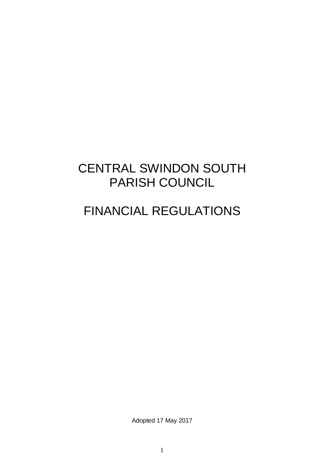# CENTRAL SWINDON SOUTH PARISH COUNCIL

# FINANCIAL REGULATIONS

Adopted 17 May 2017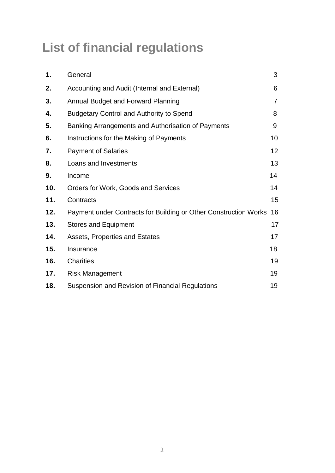# **List of financial regulations**

| General                                                          | 3              |
|------------------------------------------------------------------|----------------|
| Accounting and Audit (Internal and External)                     | 6              |
| Annual Budget and Forward Planning                               | $\overline{7}$ |
| <b>Budgetary Control and Authority to Spend</b>                  | 8              |
| Banking Arrangements and Authorisation of Payments               | 9              |
| Instructions for the Making of Payments                          | 10             |
| <b>Payment of Salaries</b>                                       | 12             |
| Loans and Investments                                            | 13             |
| Income                                                           | 14             |
| Orders for Work, Goods and Services                              | 14             |
| Contracts                                                        | 15             |
| Payment under Contracts for Building or Other Construction Works | 16             |
| <b>Stores and Equipment</b>                                      | 17             |
| Assets, Properties and Estates                                   | 17             |
| Insurance                                                        | 18             |
| <b>Charities</b>                                                 | 19             |
| <b>Risk Management</b>                                           | 19             |
| Suspension and Revision of Financial Regulations                 | 19             |
|                                                                  |                |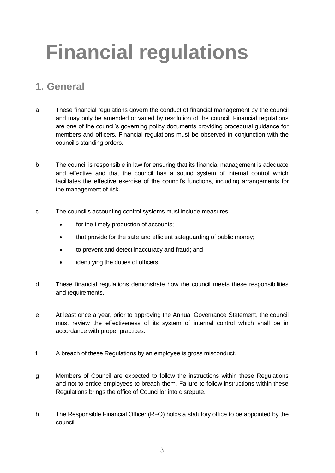# **Financial regulations**

## **1. General**

- a These financial regulations govern the conduct of financial management by the council and may only be amended or varied by resolution of the council. Financial regulations are one of the council's governing policy documents providing procedural guidance for members and officers. Financial regulations must be observed in conjunction with the council's standing orders.
- b The council is responsible in law for ensuring that its financial management is adequate and effective and that the council has a sound system of internal control which facilitates the effective exercise of the council's functions, including arrangements for the management of risk.
- c The council's accounting control systems must include measures:
	- for the timely production of accounts;
	- that provide for the safe and efficient safeguarding of public money;
	- to prevent and detect inaccuracy and fraud; and
	- identifying the duties of officers.
- d These financial regulations demonstrate how the council meets these responsibilities and requirements.
- e At least once a year, prior to approving the Annual Governance Statement, the council must review the effectiveness of its system of internal control which shall be in accordance with proper practices.
- f A breach of these Regulations by an employee is gross misconduct.
- g Members of Council are expected to follow the instructions within these Regulations and not to entice employees to breach them. Failure to follow instructions within these Regulations brings the office of Councillor into disrepute.
- h The Responsible Financial Officer (RFO) holds a statutory office to be appointed by the council.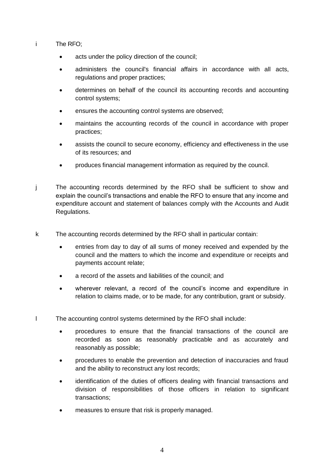- i The RFO;
	- acts under the policy direction of the council;
	- administers the council's financial affairs in accordance with all acts, regulations and proper practices;
	- determines on behalf of the council its accounting records and accounting control systems;
	- ensures the accounting control systems are observed;
	- maintains the accounting records of the council in accordance with proper practices;
	- assists the council to secure economy, efficiency and effectiveness in the use of its resources; and
	- produces financial management information as required by the council.
- j The accounting records determined by the RFO shall be sufficient to show and explain the council's transactions and enable the RFO to ensure that any income and expenditure account and statement of balances comply with the Accounts and Audit Regulations.
- k The accounting records determined by the RFO shall in particular contain:
	- entries from day to day of all sums of money received and expended by the council and the matters to which the income and expenditure or receipts and payments account relate;
	- a record of the assets and liabilities of the council; and
	- wherever relevant, a record of the council's income and expenditure in relation to claims made, or to be made, for any contribution, grant or subsidy.
- l The accounting control systems determined by the RFO shall include:
	- procedures to ensure that the financial transactions of the council are recorded as soon as reasonably practicable and as accurately and reasonably as possible;
	- procedures to enable the prevention and detection of inaccuracies and fraud and the ability to reconstruct any lost records;
	- identification of the duties of officers dealing with financial transactions and division of responsibilities of those officers in relation to significant transactions;
	- measures to ensure that risk is properly managed.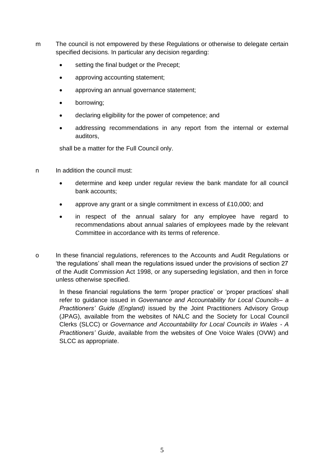- m The council is not empowered by these Regulations or otherwise to delegate certain specified decisions. In particular any decision regarding:
	- **setting the final budget or the Precept;**
	- approving accounting statement;
	- approving an annual governance statement;
	- borrowing;
	- declaring eligibility for the power of competence; and
	- addressing recommendations in any report from the internal or external auditors,

shall be a matter for the Full Council only.

- n In addition the council must:
	- determine and keep under regular review the bank mandate for all council bank accounts;
	- approve any grant or a single commitment in excess of £10,000; and
	- in respect of the annual salary for any employee have regard to recommendations about annual salaries of employees made by the relevant Committee in accordance with its terms of reference.
- o In these financial regulations, references to the Accounts and Audit Regulations or 'the regulations' shall mean the regulations issued under the provisions of section 27 of the Audit Commission Act 1998, or any superseding legislation, and then in force unless otherwise specified.

In these financial regulations the term 'proper practice' or 'proper practices' shall refer to guidance issued in *Governance and Accountability for Local Councils– a Practitioners' Guide (England)* issued by the Joint Practitioners Advisory Group (JPAG), available from the websites of NALC and the Society for Local Council Clerks (SLCC) or *Governance and Accountability for Local Councils in Wales - A Practitioners' Guide*, available from the websites of One Voice Wales (OVW) and SLCC as appropriate.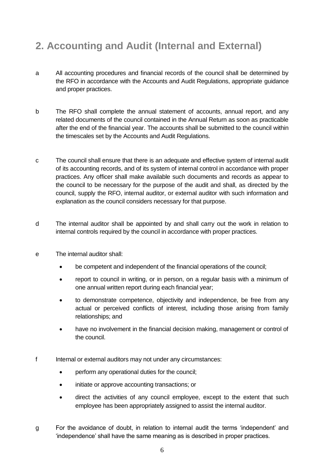# **2. Accounting and Audit (Internal and External)**

- a All accounting procedures and financial records of the council shall be determined by the RFO in accordance with the Accounts and Audit Regulations, appropriate guidance and proper practices.
- b The RFO shall complete the annual statement of accounts, annual report, and any related documents of the council contained in the Annual Return as soon as practicable after the end of the financial year. The accounts shall be submitted to the council within the timescales set by the Accounts and Audit Regulations.
- c The council shall ensure that there is an adequate and effective system of internal audit of its accounting records, and of its system of internal control in accordance with proper practices. Any officer shall make available such documents and records as appear to the council to be necessary for the purpose of the audit and shall, as directed by the council, supply the RFO, internal auditor, or external auditor with such information and explanation as the council considers necessary for that purpose.
- d The internal auditor shall be appointed by and shall carry out the work in relation to internal controls required by the council in accordance with proper practices.
- e The internal auditor shall:
	- be competent and independent of the financial operations of the council;
	- report to council in writing, or in person, on a regular basis with a minimum of one annual written report during each financial year;
	- to demonstrate competence, objectivity and independence, be free from any actual or perceived conflicts of interest, including those arising from family relationships; and
	- have no involvement in the financial decision making, management or control of the council.
- f Internal or external auditors may not under any circumstances:
	- perform any operational duties for the council:
	- initiate or approve accounting transactions; or
	- direct the activities of any council employee, except to the extent that such employee has been appropriately assigned to assist the internal auditor.
- g For the avoidance of doubt, in relation to internal audit the terms 'independent' and 'independence' shall have the same meaning as is described in proper practices.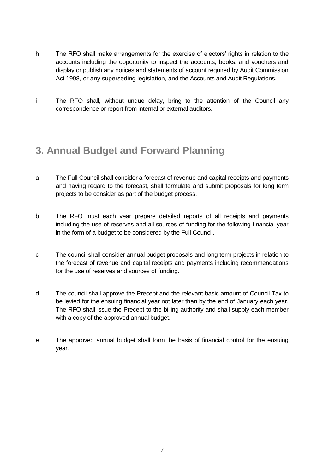- h The RFO shall make arrangements for the exercise of electors' rights in relation to the accounts including the opportunity to inspect the accounts, books, and vouchers and display or publish any notices and statements of account required by Audit Commission Act 1998, or any superseding legislation, and the Accounts and Audit Regulations.
- i The RFO shall, without undue delay, bring to the attention of the Council any correspondence or report from internal or external auditors.

#### **3. Annual Budget and Forward Planning**

- a The Full Council shall consider a forecast of revenue and capital receipts and payments and having regard to the forecast, shall formulate and submit proposals for long term projects to be consider as part of the budget process.
- b The RFO must each year prepare detailed reports of all receipts and payments including the use of reserves and all sources of funding for the following financial year in the form of a budget to be considered by the Full Council.
- c The council shall consider annual budget proposals and long term projects in relation to the forecast of revenue and capital receipts and payments including recommendations for the use of reserves and sources of funding.
- d The council shall approve the Precept and the relevant basic amount of Council Tax to be levied for the ensuing financial year not later than by the end of January each year. The RFO shall issue the Precept to the billing authority and shall supply each member with a copy of the approved annual budget.
- e The approved annual budget shall form the basis of financial control for the ensuing year.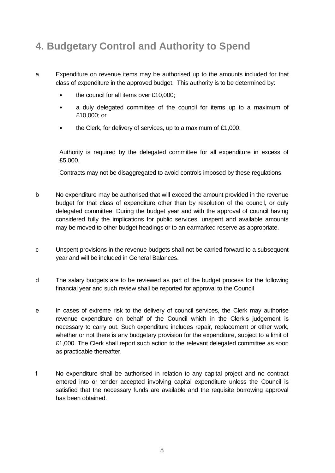# **4. Budgetary Control and Authority to Spend**

- a Expenditure on revenue items may be authorised up to the amounts included for that class of expenditure in the approved budget. This authority is to be determined by:
	- the council for all items over £10,000;
	- a duly delegated committee of the council for items up to a maximum of £10,000; or
	- the Clerk, for delivery of services, up to a maximum of £1,000.

Authority is required by the delegated committee for all expenditure in excess of £5,000.

Contracts may not be disaggregated to avoid controls imposed by these regulations.

- b No expenditure may be authorised that will exceed the amount provided in the revenue budget for that class of expenditure other than by resolution of the council, or duly delegated committee. During the budget year and with the approval of council having considered fully the implications for public services, unspent and available amounts may be moved to other budget headings or to an earmarked reserve as appropriate.
- c Unspent provisions in the revenue budgets shall not be carried forward to a subsequent year and will be included in General Balances.
- d The salary budgets are to be reviewed as part of the budget process for the following financial year and such review shall be reported for approval to the Council
- e In cases of extreme risk to the delivery of council services, the Clerk may authorise revenue expenditure on behalf of the Council which in the Clerk's judgement is necessary to carry out. Such expenditure includes repair, replacement or other work, whether or not there is any budgetary provision for the expenditure, subject to a limit of £1,000. The Clerk shall report such action to the relevant delegated committee as soon as practicable thereafter.
- f No expenditure shall be authorised in relation to any capital project and no contract entered into or tender accepted involving capital expenditure unless the Council is satisfied that the necessary funds are available and the requisite borrowing approval has been obtained.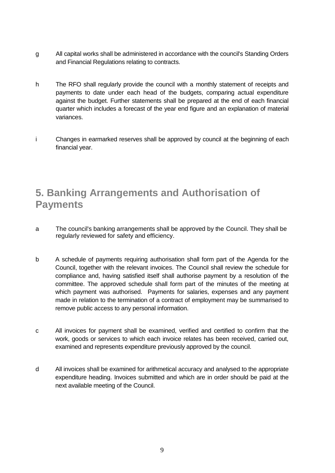- g All capital works shall be administered in accordance with the council's Standing Orders and Financial Regulations relating to contracts.
- h The RFO shall regularly provide the council with a monthly statement of receipts and payments to date under each head of the budgets, comparing actual expenditure against the budget. Further statements shall be prepared at the end of each financial quarter which includes a forecast of the year end figure and an explanation of material variances.
- i Changes in earmarked reserves shall be approved by council at the beginning of each financial year.

#### **5. Banking Arrangements and Authorisation of Payments**

- a The council's banking arrangements shall be approved by the Council. They shall be regularly reviewed for safety and efficiency.
- b A schedule of payments requiring authorisation shall form part of the Agenda for the Council, together with the relevant invoices. The Council shall review the schedule for compliance and, having satisfied itself shall authorise payment by a resolution of the committee. The approved schedule shall form part of the minutes of the meeting at which payment was authorised. Payments for salaries, expenses and any payment made in relation to the termination of a contract of employment may be summarised to remove public access to any personal information.
- c All invoices for payment shall be examined, verified and certified to confirm that the work, goods or services to which each invoice relates has been received, carried out, examined and represents expenditure previously approved by the council.
- d All invoices shall be examined for arithmetical accuracy and analysed to the appropriate expenditure heading. Invoices submitted and which are in order should be paid at the next available meeting of the Council.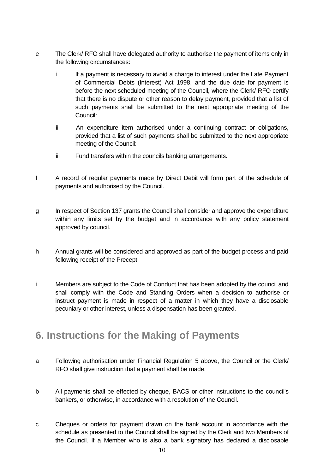- e The Clerk/ RFO shall have delegated authority to authorise the payment of items only in the following circumstances:
	- i If a payment is necessary to avoid a charge to interest under the Late Payment of Commercial Debts (Interest) Act 1998, and the due date for payment is before the next scheduled meeting of the Council, where the Clerk/ RFO certify that there is no dispute or other reason to delay payment, provided that a list of such payments shall be submitted to the next appropriate meeting of the Council:
	- ii An expenditure item authorised under a continuing contract or obligations, provided that a list of such payments shall be submitted to the next appropriate meeting of the Council:
	- iii Fund transfers within the councils banking arrangements.
- f A record of regular payments made by Direct Debit will form part of the schedule of payments and authorised by the Council.
- g In respect of Section 137 grants the Council shall consider and approve the expenditure within any limits set by the budget and in accordance with any policy statement approved by council.
- h Annual grants will be considered and approved as part of the budget process and paid following receipt of the Precept.
- i Members are subject to the Code of Conduct that has been adopted by the council and shall comply with the Code and Standing Orders when a decision to authorise or instruct payment is made in respect of a matter in which they have a disclosable pecuniary or other interest, unless a dispensation has been granted.

#### **6. Instructions for the Making of Payments**

- a Following authorisation under Financial Regulation 5 above, the Council or the Clerk/ RFO shall give instruction that a payment shall be made.
- b All payments shall be effected by cheque, BACS or other instructions to the council's bankers, or otherwise, in accordance with a resolution of the Council.
- c Cheques or orders for payment drawn on the bank account in accordance with the schedule as presented to the Council shall be signed by the Clerk and two Members of the Council. If a Member who is also a bank signatory has declared a disclosable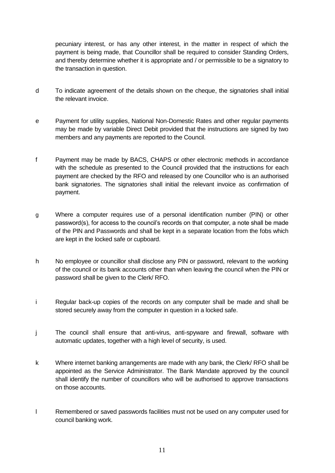pecuniary interest, or has any other interest, in the matter in respect of which the payment is being made, that Councillor shall be required to consider Standing Orders, and thereby determine whether it is appropriate and / or permissible to be a signatory to the transaction in question.

- d To indicate agreement of the details shown on the cheque, the signatories shall initial the relevant invoice.
- e Payment for utility supplies, National Non-Domestic Rates and other regular payments may be made by variable Direct Debit provided that the instructions are signed by two members and any payments are reported to the Council.
- f Payment may be made by BACS, CHAPS or other electronic methods in accordance with the schedule as presented to the Council provided that the instructions for each payment are checked by the RFO and released by one Councillor who is an authorised bank signatories. The signatories shall initial the relevant invoice as confirmation of payment.
- g Where a computer requires use of a personal identification number (PIN) or other password(s), for access to the council's records on that computer, a note shall be made of the PIN and Passwords and shall be kept in a separate location from the fobs which are kept in the locked safe or cupboard.
- h No employee or councillor shall disclose any PIN or password, relevant to the working of the council or its bank accounts other than when leaving the council when the PIN or password shall be given to the Clerk/ RFO.
- i Regular back-up copies of the records on any computer shall be made and shall be stored securely away from the computer in question in a locked safe.
- j The council shall ensure that anti-virus, anti-spyware and firewall, software with automatic updates, together with a high level of security, is used.
- k Where internet banking arrangements are made with any bank, the Clerk/ RFO shall be appointed as the Service Administrator. The Bank Mandate approved by the council shall identify the number of councillors who will be authorised to approve transactions on those accounts.
- l Remembered or saved passwords facilities must not be used on any computer used for council banking work.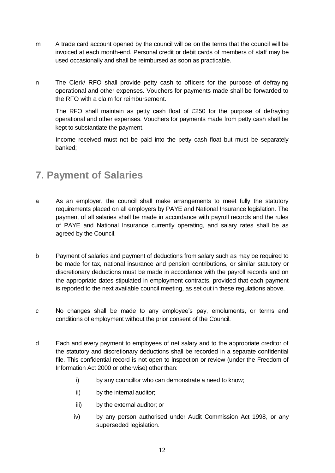- m A trade card account opened by the council will be on the terms that the council will be invoiced at each month-end. Personal credit or debit cards of members of staff may be used occasionally and shall be reimbursed as soon as practicable.
- n The Clerk/ RFO shall provide petty cash to officers for the purpose of defraying operational and other expenses. Vouchers for payments made shall be forwarded to the RFO with a claim for reimbursement.

The RFO shall maintain as petty cash float of £250 for the purpose of defraying operational and other expenses. Vouchers for payments made from petty cash shall be kept to substantiate the payment.

Income received must not be paid into the petty cash float but must be separately banked;

## **7. Payment of Salaries**

- a As an employer, the council shall make arrangements to meet fully the statutory requirements placed on all employers by PAYE and National Insurance legislation. The payment of all salaries shall be made in accordance with payroll records and the rules of PAYE and National Insurance currently operating, and salary rates shall be as agreed by the Council.
- b Payment of salaries and payment of deductions from salary such as may be required to be made for tax, national insurance and pension contributions, or similar statutory or discretionary deductions must be made in accordance with the payroll records and on the appropriate dates stipulated in employment contracts, provided that each payment is reported to the next available council meeting, as set out in these regulations above.
- c No changes shall be made to any employee's pay, emoluments, or terms and conditions of employment without the prior consent of the Council.
- d Each and every payment to employees of net salary and to the appropriate creditor of the statutory and discretionary deductions shall be recorded in a separate confidential file. This confidential record is not open to inspection or review (under the Freedom of Information Act 2000 or otherwise) other than:
	- i) by any councillor who can demonstrate a need to know:
	- ii) by the internal auditor;
	- iii) by the external auditor; or
	- iv) by any person authorised under Audit Commission Act 1998, or any superseded legislation.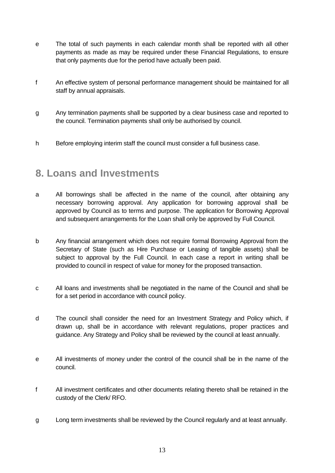- e The total of such payments in each calendar month shall be reported with all other payments as made as may be required under these Financial Regulations, to ensure that only payments due for the period have actually been paid.
- f An effective system of personal performance management should be maintained for all staff by annual appraisals.
- g Any termination payments shall be supported by a clear business case and reported to the council. Termination payments shall only be authorised by council.
- h Before employing interim staff the council must consider a full business case.

#### **8. Loans and Investments**

- a All borrowings shall be affected in the name of the council, after obtaining any necessary borrowing approval. Any application for borrowing approval shall be approved by Council as to terms and purpose. The application for Borrowing Approval and subsequent arrangements for the Loan shall only be approved by Full Council.
- b Any financial arrangement which does not require formal Borrowing Approval from the Secretary of State (such as Hire Purchase or Leasing of tangible assets) shall be subject to approval by the Full Council. In each case a report in writing shall be provided to council in respect of value for money for the proposed transaction.
- c All loans and investments shall be negotiated in the name of the Council and shall be for a set period in accordance with council policy.
- d The council shall consider the need for an Investment Strategy and Policy which, if drawn up, shall be in accordance with relevant regulations, proper practices and guidance. Any Strategy and Policy shall be reviewed by the council at least annually.
- e All investments of money under the control of the council shall be in the name of the council.
- f All investment certificates and other documents relating thereto shall be retained in the custody of the Clerk/ RFO.
- g Long term investments shall be reviewed by the Council regularly and at least annually.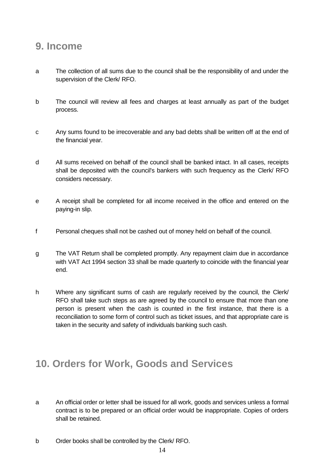#### **9. Income**

- a The collection of all sums due to the council shall be the responsibility of and under the supervision of the Clerk/ RFO.
- b The council will review all fees and charges at least annually as part of the budget process.
- c Any sums found to be irrecoverable and any bad debts shall be written off at the end of the financial year.
- d All sums received on behalf of the council shall be banked intact. In all cases, receipts shall be deposited with the council's bankers with such frequency as the Clerk/ RFO considers necessary.
- e A receipt shall be completed for all income received in the office and entered on the paying-in slip.
- f Personal cheques shall not be cashed out of money held on behalf of the council.
- g The VAT Return shall be completed promptly. Any repayment claim due in accordance with VAT Act 1994 section 33 shall be made quarterly to coincide with the financial year end.
- h Where any significant sums of cash are regularly received by the council, the Clerk/ RFO shall take such steps as are agreed by the council to ensure that more than one person is present when the cash is counted in the first instance, that there is a reconciliation to some form of control such as ticket issues, and that appropriate care is taken in the security and safety of individuals banking such cash.

#### **10. Orders for Work, Goods and Services**

- a An official order or letter shall be issued for all work, goods and services unless a formal contract is to be prepared or an official order would be inappropriate. Copies of orders shall be retained.
- b Order books shall be controlled by the Clerk/ RFO.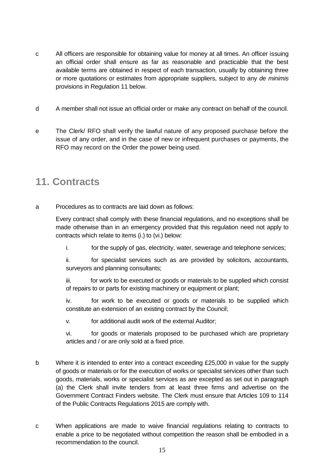- c All officers are responsible for obtaining value for money at all times. An officer issuing an official order shall ensure as far as reasonable and practicable that the best available terms are obtained in respect of each transaction, usually by obtaining three or more quotations or estimates from appropriate suppliers, subject to any *de minimis* provisions in Regulation 11 below.
- d A member shall not issue an official order or make any contract on behalf of the council.
- e The Clerk/ RFO shall verify the lawful nature of any proposed purchase before the issue of any order, and in the case of new or infrequent purchases or payments, the RFO may record on the Order the power being used.

#### **11. Contracts**

a Procedures as to contracts are laid down as follows:

Every contract shall comply with these financial regulations, and no exceptions shall be made otherwise than in an emergency provided that this regulation need not apply to contracts which relate to items (i.) to (vi.) below:

i. for the supply of gas, electricity, water, sewerage and telephone services;

ii. for specialist services such as are provided by solicitors, accountants, surveyors and planning consultants;

iii. for work to be executed or goods or materials to be supplied which consist of repairs to or parts for existing machinery or equipment or plant;

iv. for work to be executed or goods or materials to be supplied which constitute an extension of an existing contract by the Council;

v. for additional audit work of the external Auditor;

vi. for goods or materials proposed to be purchased which are proprietary articles and / or are only sold at a fixed price.

- b Where it is intended to enter into a contract exceeding £25,000 in value for the supply of goods or materials or for the execution of works or specialist services other than such goods, materials, works or specialist services as are excepted as set out in paragraph (a) the Clerk shall invite tenders from at least three firms and advertise on the Government Contract Finders website. The Clerk must ensure that Articles 109 to 114 of the Public Contracts Regulations 2015 are comply with.
- c When applications are made to waive financial regulations relating to contracts to enable a price to be negotiated without competition the reason shall be embodied in a recommendation to the council.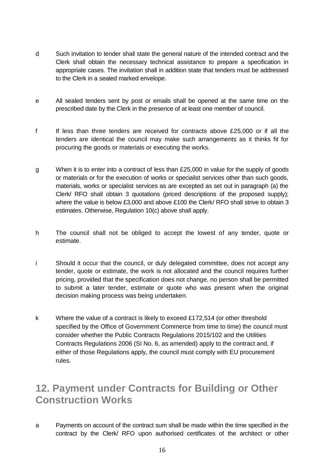- d Such invitation to tender shall state the general nature of the intended contract and the Clerk shall obtain the necessary technical assistance to prepare a specification in appropriate cases. The invitation shall in addition state that tenders must be addressed to the Clerk in a sealed marked envelope.
- e All sealed tenders sent by post or emails shall be opened at the same time on the prescribed date by the Clerk in the presence of at least one member of council.
- f If less than three tenders are received for contracts above £25,000 or if all the tenders are identical the council may make such arrangements as it thinks fit for procuring the goods or materials or executing the works.
- g When it is to enter into a contract of less than £25,000 in value for the supply of goods or materials or for the execution of works or specialist services other than such goods, materials, works or specialist services as are excepted as set out in paragraph (a) the Clerk/ RFO shall obtain 3 quotations (priced descriptions of the proposed supply); where the value is below £3,000 and above £100 the Clerk/ RFO shall strive to obtain 3 estimates. Otherwise, Regulation 10(c) above shall apply.
- h The council shall not be obliged to accept the lowest of any tender, quote or estimate.
- i Should it occur that the council, or duly delegated committee, does not accept any tender, quote or estimate, the work is not allocated and the council requires further pricing, provided that the specification does not change, no person shall be permitted to submit a later tender, estimate or quote who was present when the original decision making process was being undertaken.
- k Where the value of a contract is likely to exceed £172,514 (or other threshold specified by the Office of Government Commerce from time to time) the council must consider whether the Public Contracts Regulations 2015/102 and the Utilities Contracts Regulations 2006 (SI No. 6, as amended) apply to the contract and, if either of those Regulations apply, the council must comply with EU procurement rules.

#### **12. Payment under Contracts for Building or Other Construction Works**

a Payments on account of the contract sum shall be made within the time specified in the contract by the Clerk/ RFO upon authorised certificates of the architect or other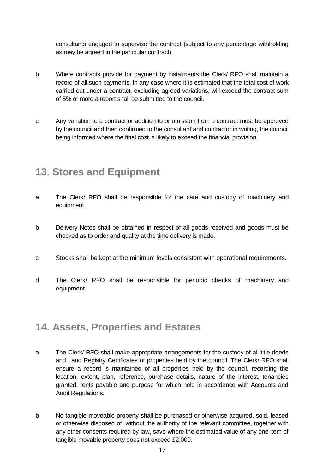consultants engaged to supervise the contract (subject to any percentage withholding as may be agreed in the particular contract).

- b Where contracts provide for payment by instalments the Clerk/ RFO shall maintain a record of all such payments. In any case where it is estimated that the total cost of work carried out under a contract, excluding agreed variations, will exceed the contract sum of 5% or more a report shall be submitted to the council.
- c Any variation to a contract or addition to or omission from a contract must be approved by the council and then confirmed to the consultant and contractor in writing, the council being informed where the final cost is likely to exceed the financial provision.

#### **13. Stores and Equipment**

- a The Clerk/ RFO shall be responsible for the care and custody of machinery and equipment.
- b Delivery Notes shall be obtained in respect of all goods received and goods must be checked as to order and quality at the time delivery is made.
- c Stocks shall be kept at the minimum levels consistent with operational requirements.
- d The Clerk/ RFO shall be responsible for periodic checks of machinery and equipment.

#### **14. Assets, Properties and Estates**

- a The Clerk/ RFO shall make appropriate arrangements for the custody of all title deeds and Land Registry Certificates of properties held by the council. The Clerk/ RFO shall ensure a record is maintained of all properties held by the council, recording the location, extent, plan, reference, purchase details, nature of the interest, tenancies granted, rents payable and purpose for which held in accordance with Accounts and Audit Regulations.
- b No tangible moveable property shall be purchased or otherwise acquired, sold, leased or otherwise disposed of, without the authority of the relevant committee, together with any other consents required by law, save where the estimated value of any one item of tangible movable property does not exceed £2,000.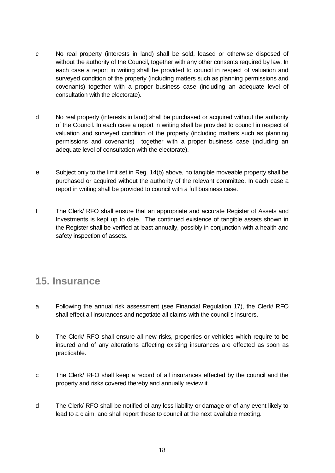- c No real property (interests in land) shall be sold, leased or otherwise disposed of without the authority of the Council, together with any other consents required by law, In each case a report in writing shall be provided to council in respect of valuation and surveyed condition of the property (including matters such as planning permissions and covenants) together with a proper business case (including an adequate level of consultation with the electorate).
- d No real property (interests in land) shall be purchased or acquired without the authority of the Council. In each case a report in writing shall be provided to council in respect of valuation and surveyed condition of the property (including matters such as planning permissions and covenants) together with a proper business case (including an adequate level of consultation with the electorate).
- e Subject only to the limit set in Reg. 14(b) above, no tangible moveable property shall be purchased or acquired without the authority of the relevant committee. In each case a report in writing shall be provided to council with a full business case.
- f The Clerk/ RFO shall ensure that an appropriate and accurate Register of Assets and Investments is kept up to date. The continued existence of tangible assets shown in the Register shall be verified at least annually, possibly in conjunction with a health and safety inspection of assets.

#### **15. Insurance**

- a Following the annual risk assessment (see Financial Regulation 17), the Clerk/ RFO shall effect all insurances and negotiate all claims with the council's insurers.
- b The Clerk/ RFO shall ensure all new risks, properties or vehicles which require to be insured and of any alterations affecting existing insurances are effected as soon as practicable.
- c The Clerk/ RFO shall keep a record of all insurances effected by the council and the property and risks covered thereby and annually review it.
- d The Clerk/ RFO shall be notified of any loss liability or damage or of any event likely to lead to a claim, and shall report these to council at the next available meeting.